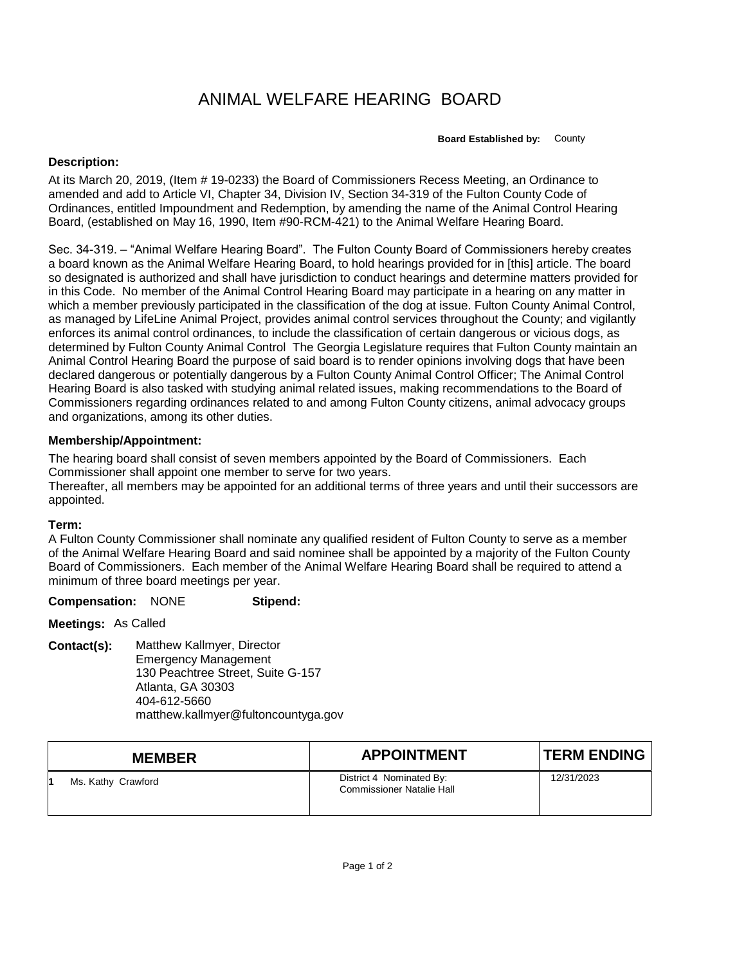# ANIMAL WELFARE HEARING BOARD

**Board Established by:** County

## **Description:**

At its March 20, 2019, (Item # 19-0233) the Board of Commissioners Recess Meeting, an Ordinance to amended and add to Article VI, Chapter 34, Division IV, Section 34-319 of the Fulton County Code of Ordinances, entitled Impoundment and Redemption, by amending the name of the Animal Control Hearing Board, (established on May 16, 1990, Item #90-RCM-421) to the Animal Welfare Hearing Board.

Sec. 34-319. – "Animal Welfare Hearing Board". The Fulton County Board of Commissioners hereby creates a board known as the Animal Welfare Hearing Board, to hold hearings provided for in [this] article. The board so designated is authorized and shall have jurisdiction to conduct hearings and determine matters provided for in this Code. No member of the Animal Control Hearing Board may participate in a hearing on any matter in which a member previously participated in the classification of the dog at issue. Fulton County Animal Control, as managed by LifeLine Animal Project, provides animal control services throughout the County; and vigilantly enforces its animal control ordinances, to include the classification of certain dangerous or vicious dogs, as determined by Fulton County Animal Control The Georgia Legislature requires that Fulton County maintain an Animal Control Hearing Board the purpose of said board is to render opinions involving dogs that have been declared dangerous or potentially dangerous by a Fulton County Animal Control Officer; The Animal Control Hearing Board is also tasked with studying animal related issues, making recommendations to the Board of Commissioners regarding ordinances related to and among Fulton County citizens, animal advocacy groups and organizations, among its other duties.

## **Membership/Appointment:**

The hearing board shall consist of seven members appointed by the Board of Commissioners. Each Commissioner shall appoint one member to serve for two years. Thereafter, all members may be appointed for an additional terms of three years and until their successors are appointed.

## **Term:**

A Fulton County Commissioner shall nominate any qualified resident of Fulton County to serve as a member of the Animal Welfare Hearing Board and said nominee shall be appointed by a majority of the Fulton County Board of Commissioners. Each member of the Animal Welfare Hearing Board shall be required to attend a minimum of three board meetings per year.

### **Compensation:** NONE **Stipend:**

**Meetings:** As Called

**Contact(s):** Matthew Kallmyer, Director Emergency Management 130 Peachtree Street, Suite G-157 Atlanta, GA 30303 404-612-5660 matthew.kallmyer@fultoncountyga.gov

| <b>MEMBER</b>      | <b>APPOINTMENT</b>                                           | <b>TERM ENDING</b> |
|--------------------|--------------------------------------------------------------|--------------------|
| Ms. Kathy Crawford | District 4 Nominated By:<br><b>Commissioner Natalie Hall</b> | 12/31/2023         |